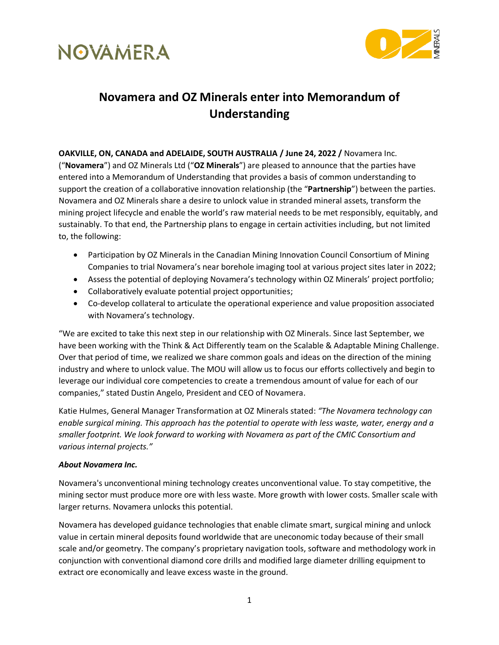



## **Novamera and OZ Minerals enter into Memorandum of Understanding**

**OAKVILLE, ON, CANADA and ADELAIDE, SOUTH AUSTRALIA / June 24, 2022 /** Novamera Inc. ("**Novamera**") and OZ Minerals Ltd ("**OZ Minerals**") are pleased to announce that the parties have entered into a Memorandum of Understanding that provides a basis of common understanding to support the creation of a collaborative innovation relationship (the "**Partnership**") between the parties. Novamera and OZ Minerals share a desire to unlock value in stranded mineral assets, transform the mining project lifecycle and enable the world's raw material needs to be met responsibly, equitably, and sustainably. To that end, the Partnership plans to engage in certain activities including, but not limited to, the following:

- Participation by OZ Minerals in the Canadian Mining Innovation Council Consortium of Mining Companies to trial Novamera's near borehole imaging tool at various project sites later in 2022;
- Assess the potential of deploying Novamera's technology within OZ Minerals' project portfolio;
- Collaboratively evaluate potential project opportunities;
- Co-develop collateral to articulate the operational experience and value proposition associated with Novamera's technology.

"We are excited to take this next step in our relationship with OZ Minerals. Since last September, we have been working with the Think & Act Differently team on the Scalable & Adaptable Mining Challenge. Over that period of time, we realized we share common goals and ideas on the direction of the mining industry and where to unlock value. The MOU will allow us to focus our efforts collectively and begin to leverage our individual core competencies to create a tremendous amount of value for each of our companies," stated Dustin Angelo, President and CEO of Novamera.

Katie Hulmes, General Manager Transformation at OZ Minerals stated: *"The Novamera technology can enable surgical mining. This approach has the potential to operate with less waste, water, energy and a smaller footprint. We look forward to working with Novamera as part of the CMIC Consortium and various internal projects."*

#### *About Novamera Inc.*

Novamera's unconventional mining technology creates unconventional value. To stay competitive, the mining sector must produce more ore with less waste. More growth with lower costs. Smaller scale with larger returns. Novamera unlocks this potential.

Novamera has developed guidance technologies that enable climate smart, surgical mining and unlock value in certain mineral deposits found worldwide that are uneconomic today because of their small scale and/or geometry. The company's proprietary navigation tools, software and methodology work in conjunction with conventional diamond core drills and modified large diameter drilling equipment to extract ore economically and leave excess waste in the ground.